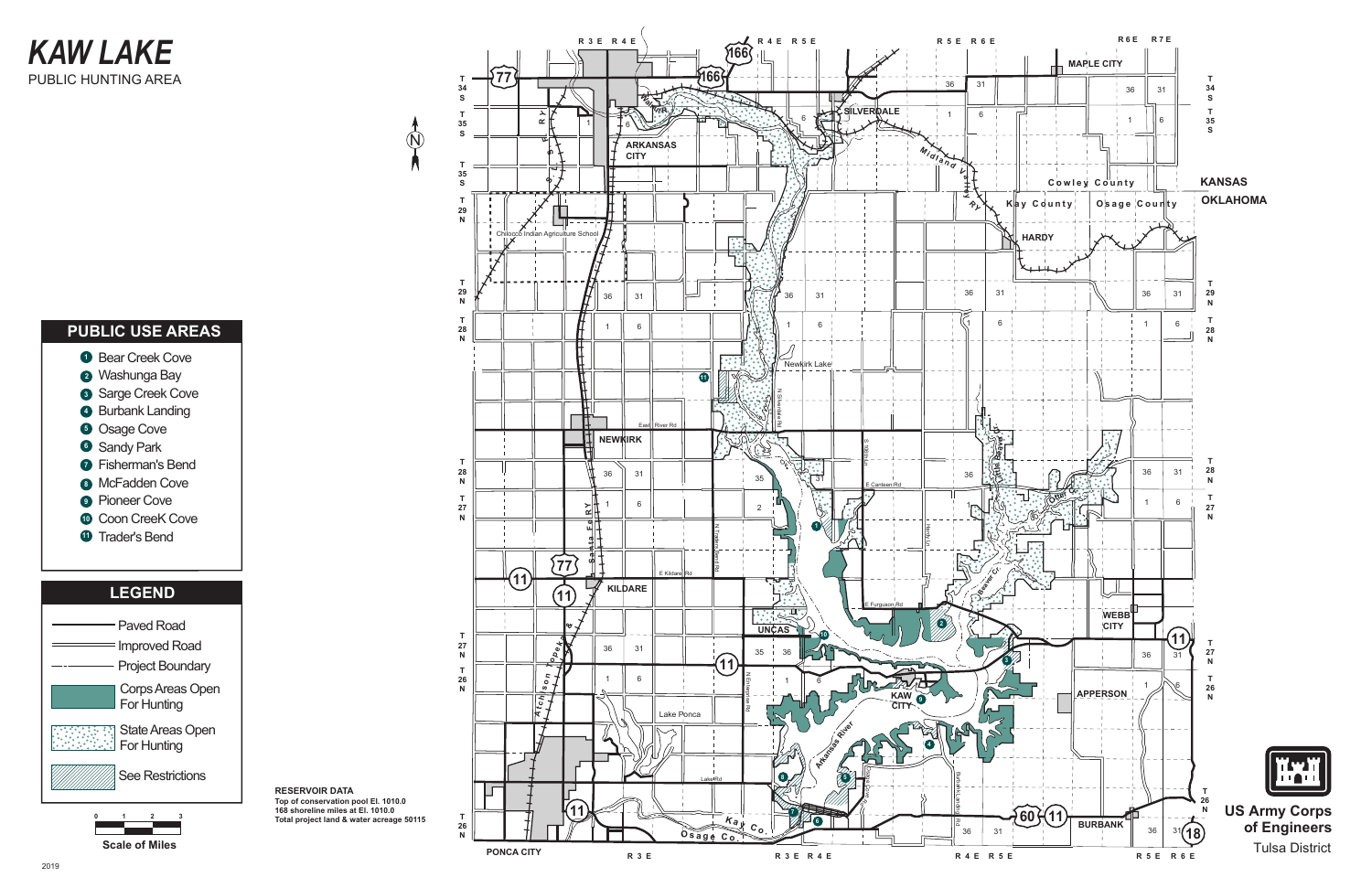## **KAW LAKE** PUBLIC HUNTING AREA

### **PUBLIC USE AREAS**

**O** Bear Creek Cove 2 Washunga Bay 3 Sarge Creek Cove 4 Burbank Landing **6** Osage Cove **6** Sandy Park **•** Fisherman's Bend **8** McFadden Cove **•** Pioneer Cove **Coon CreeK Cove 1** Trader's Bend

#### **LEGEND**







R 3 E R 4 E

Aariculture So

**ARKANSAS CITY** 

77

34

 $\mathsf{T}$ 35

<sub>S</sub>

 $T$ 35

 $\mathbf{s}$ 

 $\begin{array}{c}\nT \\
29 \\
N\n\end{array}$ 

 $\overline{\mathbb{Q}}$ 

 $R4ERSE$ 

166

166

R 3 E R 4 E

KAW O

**CITY** 

R 4 E R 5 E

 $31$ 

36

**R 5 E R 6 E** 

31

 $6\overline{6}$ 

36

 $\overline{1}$ 

Midland Latter

 $\frac{1}{\sqrt{2}}$ 

36

 $\overline{G}$ 

붱

36

**S** 

PATE

繢

 $31$ 

 $6\overline{6}$ 

**SILVER QALE** 

 $31$ 

 $6\overline{6}$ 

Newkirk Lake

 $\frac{1}{31}$ 

 $\sqrt{10}$ 

 $74$ 

36

35

 $\overline{2}$ 

<u>ना स्मृत</u>

35

**UNCAS** 

36

 $\bullet$ 

Z N

IG I





**US Army Corps** of Engineers **Tulsa District**